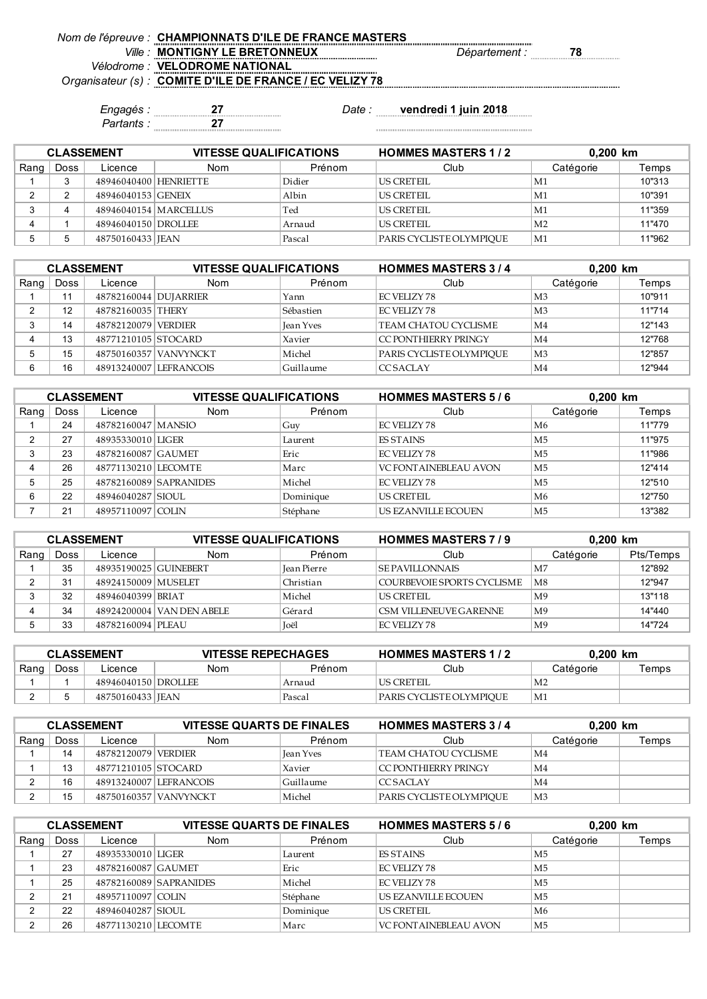| Nom de l'épreuve : CHAMPIONNATS D'ILE DE FRANCE MASTERS  |                      |    |
|----------------------------------------------------------|----------------------|----|
| <b>MONTIGNY LE BRETONNEUX</b>                            | <i>Département :</i> | 78 |
| Vélodrome : VELODROME NATIONAL                           |                      |    |
| Organisateur (s) : COMITE D'ILE DE FRANCE / EC VELIZY 78 |                      |    |
|                                                          |                      |    |

*Partants :* **27**

*Engagés :* **27** *Date :* **vendredi 1 juin 2018**

**HOMMES MASTERS 1 / 2 0,200 km** Rang | Doss | Licence | Nom | Prénom | Club | Catégorie | Temps 1 3 48946040400 HENRIETTE Didier US CRETEIL M1 10"313 2 2 48946040153 GENEIX Albin US CRETEIL M1 10"391 3 4 48946040154 MARCELLUS Ted US CRETEIL M1 11"359 4 | 1 | 48946040150 DROLLEE | Arnaud | US CRETEIL | M2 | 11"470 5 5 48750160433 JEAN Pascal PARIS CYCLISTE OLYMPIQUE M1 11"962 **CLASSEMENT VITESSE QUALIFICATIONS**

| <b>CLASSEMENT</b> |      |                       | <b>VITESSE QUALIFICATIONS</b> |                  | <b>HOMMES MASTERS 3/4</b> |                | 0,200 km |  |
|-------------------|------|-----------------------|-------------------------------|------------------|---------------------------|----------------|----------|--|
| Rang              | Doss | Licence               | <b>Nom</b>                    | Prénom           | Club                      | Catégorie      | Temps    |  |
|                   |      | 48782160044 DUJARRIER |                               | Yann             | EC VELIZY 78              | M <sub>3</sub> | 10"911   |  |
| ◠                 | 12   | 48782160035 THERY     |                               | Sébastien        | EC VELIZY 78              | M <sub>3</sub> | 11"714   |  |
| 3                 | 14   | 48782120079 VERDIER   |                               | <b>Jean Yves</b> | TEAM CHATOU CYCLISME      | $\mathbf{M}4$  | 12"143   |  |
|                   | 13   | 48771210105 STOCARD   |                               | Xavier           | CC PONTHIERRY PRINGY      | $\mathbf{M}4$  | 12"768   |  |
| 5                 | 15   |                       | 48750160357 VANVYNCKT         | Michel           | PARIS CYCLISTE OLYMPIOUE  | M <sub>3</sub> | 12"857   |  |
| 6                 | 16   |                       | 48913240007 LEFRANCOIS        | Guillaume        | <b>CCSACLAY</b>           | $\mathbf{M}4$  | 12"944   |  |

| <b>CLASSEMENT</b> |      |                      | <b>VITESSE QUALIFICATIONS</b> |           | <b>HOMMES MASTERS 5/6</b>     | $0.200$ km |        |
|-------------------|------|----------------------|-------------------------------|-----------|-------------------------------|------------|--------|
| Rang              | Doss | Licence              | Nom                           | Prénom    | Club                          | Catégorie  | Temps  |
|                   | 24   | 48782160047   MANSIO |                               | Guy       | EC VELIZY 78                  | M6         | 11"779 |
| ◠                 | 27   | 48935330010 LIGER    |                               | Laurent   | <b>FS STAINS</b>              | M5         | 11"975 |
| ົ                 | 23   | 48782160087 GAUMET   |                               | Eric      | EC VELIZY 78                  | M5         | 11"986 |
|                   | 26   | 48771130210 LECOMTE  |                               | Marc      | <b>VC FONT AINEBLEAU AVON</b> | M5         | 12"414 |
|                   | 25   |                      | 48782160089 SAPRANIDES        | Michel    | <b>EC VELIZY 78</b>           | M5         | 12"510 |
| 6                 | 22   | 48946040287 SIOUL    |                               | Dominique | <b>US CRETEIL</b>             | M6         | 12"750 |
|                   | 21   | 48957110097 COLIN    |                               | Stéphane  | US EZANVILLE ECOUEN           | M5         | 13"382 |

| <b>CLASSEMENT</b> |      |                       | <b>VITESSE QUALIFICATIONS</b> |                    | <b>HOMMES MASTERS 7/9</b><br>$0.200$ km |                |           |
|-------------------|------|-----------------------|-------------------------------|--------------------|-----------------------------------------|----------------|-----------|
| Rang              | Doss | Licence               | <b>Nom</b>                    | Prénom             | Club                                    | Catégorie      | Pts/Temps |
|                   | 35   | 48935190025 GUINEBERT |                               | <b>Jean Pierre</b> | <b>SE PAVILLONNAIS</b>                  | M7             | 12"892    |
|                   | 31   | 48924150009 MUSELET   |                               | Christian          | COURBEVOIE SPORTS CYCLISME              | M <sub>8</sub> | 12"947    |
|                   | 32   | 48946040399 BRIAT     |                               | Michel             | <b>US CRETEIL</b>                       | M <sup>9</sup> | 13"118    |
|                   | 34   |                       | 48924200004 VAN DEN ABELE     | Gérard             | CSM VILLENEUVE GARENNE                  | M <sup>9</sup> | 14"440    |
|                   | 33   | 48782160094 PLEAU     |                               | <b>Toël</b>        | EC VELIZY 78                            | M <sup>9</sup> | 14"724    |

| <b>CLASSEMENT</b> |             |                       | <b>VITESSE REPECHAGES</b> |        | <b>HOMMES MASTERS 1/2</b> | 0.200 km       |       |
|-------------------|-------------|-----------------------|---------------------------|--------|---------------------------|----------------|-------|
| Rang              | <b>Doss</b> | Licence               | Nom                       | Prénom | Club                      | Catégorie      | Temps |
|                   |             | 48946040150   DROLLEE |                           | Arnaud | IUS CRETEIL               | M <sub>2</sub> |       |
|                   |             | 48750160433   JEAN    |                           | Pascal | PARIS CYCLISTE OLYMPIOUE  | ™M1            |       |

| <b>CLASSEMENT</b> |      |                       | <b>VITESSE QUARTS DE FINALES</b> |                  | <b>HOMMES MASTERS 3/4</b> | $0,200$ km     |       |
|-------------------|------|-----------------------|----------------------------------|------------------|---------------------------|----------------|-------|
| Rang              | Doss | Licence               | <b>Nom</b>                       | Prénom           | Club                      | Catégorie      | Temps |
|                   | 14   | 48782120079   VERDIER |                                  | <b>Jean Yves</b> | TEAM CHATOU CYCLISME      | M <sub>4</sub> |       |
|                   | 13   | 48771210105 STOCARD   |                                  | Xavier           | I CC PONT HIERRY PRINGY   | $\mathbf{M}4$  |       |
|                   | 16   |                       | 48913240007 LEFRANCOIS           | Guillaume        | ICC SACLAY                | $\mathbb{M}4$  |       |
|                   | 15   |                       | 48750160357 VANVYNCKT            | Michel           | PARIS CYCLISTE OLYMPIOUE  | M3             |       |

| <b>CLASSEMENT</b> |      |                     | <b>VITESSE QUARTS DE FINALES</b> |           | <b>HOMMES MASTERS 5/6</b>     | 0,200 km  |       |
|-------------------|------|---------------------|----------------------------------|-----------|-------------------------------|-----------|-------|
| Rang              | Doss | Licence             | Nom                              | Prénom    | Club                          | Catégorie | Temps |
|                   | 27   | 48935330010 LIGER   |                                  | Laurent   | <b>FS STAINS</b>              | M5        |       |
|                   | 23   | 48782160087 GAUMET  |                                  | Eric      | EC VELIZY 78                  | M5        |       |
|                   | 25   |                     | 48782160089 SAPRANIDES           | Michel    | EC VELIZY 78                  | M5        |       |
|                   | 21   | 48957110097 COLIN   |                                  | Stéphane  | US EZANVILLE ECOUEN           | M5        |       |
|                   | 22   | 48946040287 SIOUL   |                                  | Dominique | US CRETEIL                    | M6        |       |
|                   | 26   | 48771130210 LECOMTE |                                  | Marc      | <b>VC FONT AINEBLEAU AVON</b> | M5        |       |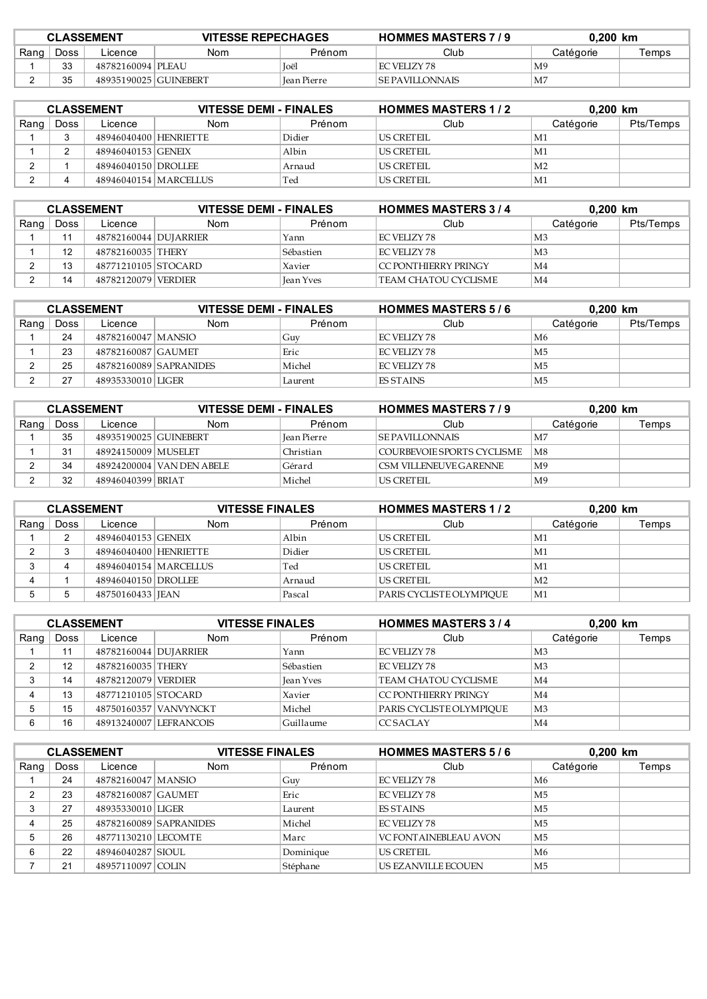| <b>CLASSEMENT</b> |      |                         |     | <b>HOMMES MASTERS 7/9</b><br><b>VITESSE REPECHAGES</b> |                          | $0.200$ km     |       |
|-------------------|------|-------------------------|-----|--------------------------------------------------------|--------------------------|----------------|-------|
| Rang              | Doss | ∟icence                 | Nom | Prénom                                                 | Club                     | Catégorie      | Temps |
|                   | っっ   | 48782160094   PLEAU     |     | <b>Toel</b>                                            | EC VELIZY 78             | M <sup>9</sup> |       |
|                   | २६   | 48935190025   GUINEBERT |     | Jean Pierre                                            | <b>ISE PAVILI ONNAIS</b> | M <sub>2</sub> |       |

| <b>CLASSEMENT</b> |      |                       | <b>VITESSE DEMI - FINALES</b> |        | <b>HOMMES MASTERS 1/2</b> | $0.200$ km     |           |
|-------------------|------|-----------------------|-------------------------------|--------|---------------------------|----------------|-----------|
| Rang              | Doss | Licence               | <b>Nom</b>                    | Prénom | Club                      | Catégorie      | Pts/Temps |
|                   |      | 48946040400 HENRIETTE |                               | Didier | US CRETEIL                | M1             |           |
|                   |      | 48946040153 GENEIX    |                               | Albin  | US CRETEIL                | M1             |           |
|                   |      | 48946040150 DROLLEE   |                               | Arnaud | US CRETEIL                | M <sub>2</sub> |           |
|                   |      |                       | 48946040154   MARCELLUS       | Ted    | US CRETEIL                | M1             |           |

| <b>CLASSEMENT</b> |      |                       | <b>VITESSE DEMI - FINALES</b> |           | <b>HOMMES MASTERS 3/4</b> |                | $0.200$ km |  |
|-------------------|------|-----------------------|-------------------------------|-----------|---------------------------|----------------|------------|--|
| Rang              | Doss | Licence               | Nom                           | Prénom    | Club                      | Catégorie      | Pts/Temps  |  |
|                   |      | 48782160044 DUJARRIER |                               | Yann      | EC VELIZY 78              | M <sub>3</sub> |            |  |
|                   | 12   | 48782160035 THERY     |                               | Sébastien | EC VELIZY 78              | M <sub>3</sub> |            |  |
|                   | 13   | 48771210105 STOCARD   |                               | Xavier    | CC PONTHIERRY PRINGY      | M <sub>4</sub> |            |  |
|                   | 14   | 48782120079 VERDIER   |                               | Jean Yves | TEAM CHATOU CYCLISME      | M <sub>4</sub> |            |  |

| <b>CLASSEMENT</b> |      |                      | <b>VITESSE DEMI - FINALES</b> |         | <b>HOMMES MASTERS 5/6</b> | $0.200$ km     |           |
|-------------------|------|----------------------|-------------------------------|---------|---------------------------|----------------|-----------|
| Rang              | Doss | Licence              | Nom                           | Prénom  | Club                      | Catégorie      | Pts/Temps |
|                   | 24   | 48782160047   MANSIO |                               | Guy     | EC VELIZY 78              | M6             |           |
|                   | 23   | 48782160087 GAUMET   |                               | Eric    | EC VELIZY 78              | M <sub>5</sub> |           |
|                   | 25   |                      | 48782160089 SAPRANIDES        | Michel  | EC VELIZY 78              | M <sub>5</sub> |           |
|                   | 27   | 48935330010 LIGER    |                               | Laurent | <b>FS STAINS</b>          | M <sub>5</sub> |           |

| <b>CLASSEMENT</b> |      |                       | <b>VITESSE DEMI - FINALES</b> |                    | <b>HOMMES MASTERS 7/9</b>  | $0.200$ km     |       |
|-------------------|------|-----------------------|-------------------------------|--------------------|----------------------------|----------------|-------|
| Rang              | Doss | Licence               | <b>Nom</b>                    | Prénom             | Club                       | Catégorie      | Temps |
|                   | 35   | 48935190025 GUINEBERT |                               | <b>Jean Pierre</b> | ISE PAVILI ONNAIS          | ∣M7            |       |
|                   | 31   | 48924150009 MUSELET   |                               | Christian          | COURBEVOIE SPORTS CYCLISME | M8             |       |
|                   | 34   |                       | 48924200004 VAN DEN ABELE     | Gérard             | CSM VILLENEUVE GARENNE     | M <sup>9</sup> |       |
|                   | 32   | 48946040399 BRIAT     |                               | Michel             | US CRETEIL                 | M <sup>9</sup> |       |

| <b>CLASSEMENT</b> |      |                       | <b>VITESSE FINALES</b>  |        | <b>HOMMES MASTERS 1/2</b> | 0,200 km       |       |
|-------------------|------|-----------------------|-------------------------|--------|---------------------------|----------------|-------|
| Rang              | Doss | Licence               | <b>Nom</b>              | Prénom | Club                      | Catégorie      | Temps |
|                   |      | 48946040153 GENEIX    |                         | Albin  | US CRETEIL                | $\rm M1$       |       |
|                   |      | 48946040400 HENRIETTE |                         | Didier | LUS CRETEIL               | $\mathbf{M}1$  |       |
|                   | 4    |                       | 48946040154   MARCELLUS | Ted    | US CRETEIL                | M1!            |       |
|                   |      | 48946040150 DROLLEE   |                         | Arnaud | LUS CRETEIL               | M <sub>2</sub> |       |
|                   | 5    | 48750160433 JEAN      |                         | Pascal | PARIS CYCLISTE OLYMPIOUE  | M1             |       |

| <b>CLASSEMENT</b> |      |                         | <b>VITESSE FINALES</b> |                  | <b>HOMMES MASTERS 3/4</b> | $0.200$ km     |       |
|-------------------|------|-------------------------|------------------------|------------------|---------------------------|----------------|-------|
| Rang              | Doss | Licence                 | <b>Nom</b>             | Prénom           | Club                      | Catégorie      | Temps |
|                   | 11   | 48782160044   DUJARRIER |                        | Yann             | EC VELIZY 78              | M <sub>3</sub> |       |
|                   | 12   | 48782160035 THERY       |                        | Sébastien        | EC VELIZY 78              | M <sub>3</sub> |       |
|                   | 14   | 48782120079 VERDIER     |                        | <b>Jean Yves</b> | TEAM CHATOU CYCLISME      | M4             |       |
|                   | 13   | 48771210105 STOCARD     |                        | Xavier           | CC PONT HIERRY PRINGY     | M4             |       |
|                   | 15   |                         | 48750160357 VANVYNCKT  | Michel           | PARIS CYCLISTE OLYMPIOUE  | M <sub>3</sub> |       |
| 6                 | 16   |                         | 48913240007 LEFRANCOIS | Guillaume        | <b>CCSACLAY</b>           | M <sub>4</sub> |       |

| <b>CLASSEMENT</b> |      |                      | <b>VITESSE FINALES</b> |           | <b>HOMMES MASTERS 5/6</b>     | 0,200 km  |       |
|-------------------|------|----------------------|------------------------|-----------|-------------------------------|-----------|-------|
| Rang              | Doss | Licence              | <b>Nom</b>             | Prénom    | Club                          | Catégorie | Temps |
|                   | 24   | 48782160047   MANSIO |                        | Guy       | EC VELIZY 78                  | M6        |       |
| ົ                 | 23   | 48782160087 GAUMET   |                        | Eric      | <b>EC VELIZY 78</b>           | M5        |       |
| 3                 | 27   | 48935330010 LIGER    |                        | Laurent   | <b>ES STAINS</b>              | M5        |       |
|                   | 25   |                      | 48782160089 SAPRANIDES | Michel    | EC VELIZY 78                  | M5        |       |
|                   | 26   | 48771130210 LECOMTE  |                        | Marc      | <b>VC FONT AINEBLEAU AVON</b> | M5        |       |
| 6                 | 22   | 48946040287 SIOUL    |                        | Dominique | <b>US CRETEIL</b>             | M6        |       |
|                   | 21   | 48957110097 COLIN    |                        | Stéphane  | US EZANVILLE ECOUEN           | M5        |       |